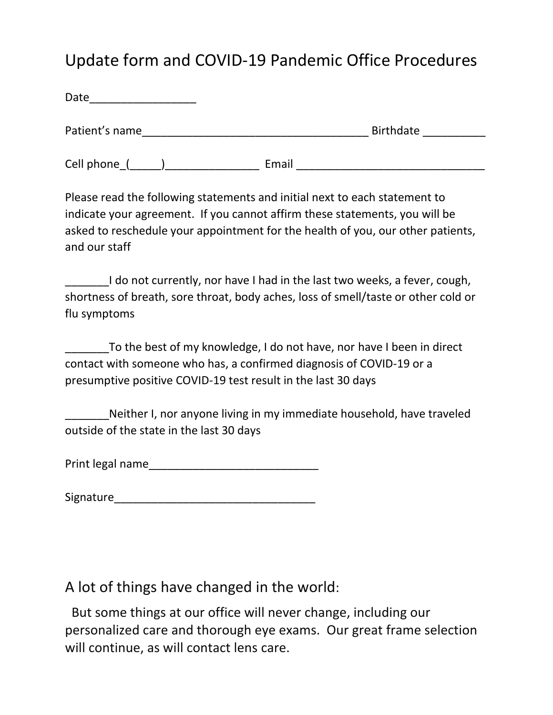## Update form and COVID-19 Pandemic Office Procedures

| Date ____________________                                                                                                                                                  |                                                                                    |
|----------------------------------------------------------------------------------------------------------------------------------------------------------------------------|------------------------------------------------------------------------------------|
|                                                                                                                                                                            | <b>Birthdate Example 1</b>                                                         |
|                                                                                                                                                                            |                                                                                    |
| Please read the following statements and initial next to each statement to<br>indicate your agreement. If you cannot affirm these statements, you will be<br>and our staff | asked to reschedule your appointment for the health of you, our other patients,    |
| ________I do not currently, nor have I had in the last two weeks, a fever, cough,<br>flu symptoms                                                                          | shortness of breath, sore throat, body aches, loss of smell/taste or other cold or |
|                                                                                                                                                                            | To the best of my knowledge, I do not have, nor have I been in direct              |

contact with someone who has, a confirmed diagnosis of COVID-19 or a presumptive positive COVID-19 test result in the last 30 days

Neither I, nor anyone living in my immediate household, have traveled outside of the state in the last 30 days

Print legal name\_\_\_\_\_\_\_\_\_\_\_\_\_\_\_\_\_\_\_\_\_\_\_\_\_\_\_

| Signature |
|-----------|
|-----------|

A lot of things have changed in the world:

But some things at our office will never change, including our personalized care and thorough eye exams. Our great frame selection will continue, as will contact lens care.